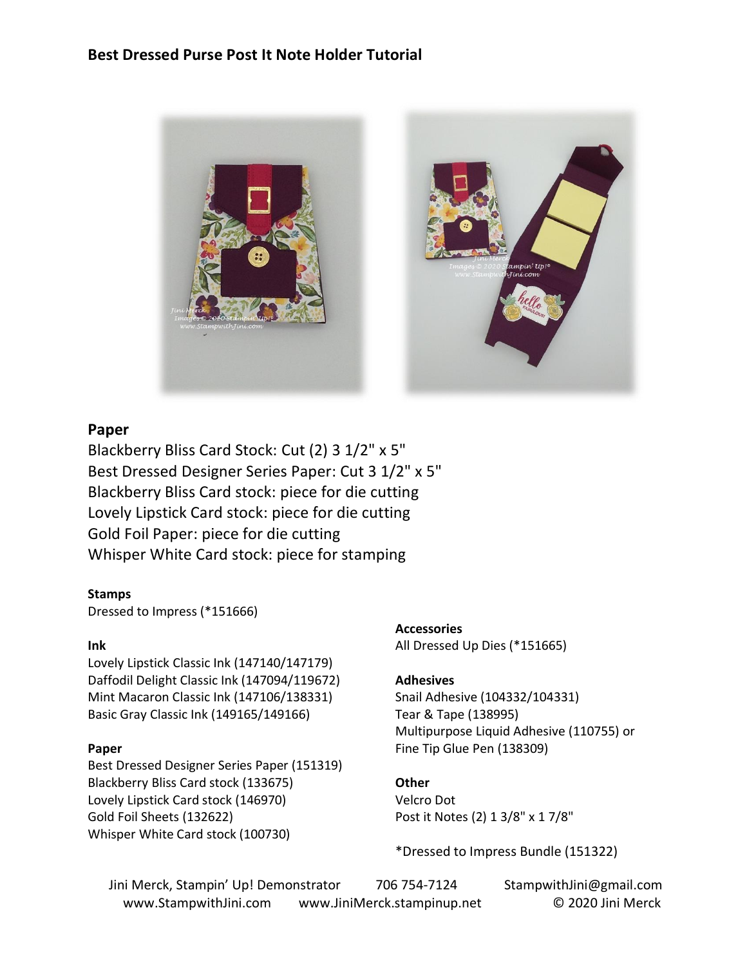

### **Paper**

Blackberry Bliss Card Stock: Cut (2) 3 1/2" x 5" Best Dressed Designer Series Paper: Cut 3 1/2" x 5" Blackberry Bliss Card stock: piece for die cutting Lovely Lipstick Card stock: piece for die cutting Gold Foil Paper: piece for die cutting Whisper White Card stock: piece for stamping

### **Stamps**

Dressed to Impress (\*151666)

#### **Ink**

Lovely Lipstick Classic Ink (147140/147179) Daffodil Delight Classic Ink (147094/119672) Mint Macaron Classic Ink (147106/138331) Basic Gray Classic Ink (149165/149166)

#### **Paper**

Best Dressed Designer Series Paper (151319) Blackberry Bliss Card stock (133675) Lovely Lipstick Card stock (146970) Gold Foil Sheets (132622) Whisper White Card stock (100730)

**Accessories** All Dressed Up Dies (\*151665)

### **Adhesives**

Snail Adhesive (104332/104331) Tear & Tape (138995) Multipurpose Liquid Adhesive (110755) or Fine Tip Glue Pen (138309)

### **Other**

Velcro Dot Post it Notes (2) 1 3/8" x 1 7/8"

\*Dressed to Impress Bundle (151322)

Jini Merck, Stampin' Up! Demonstrator 706 754-7124 StampwithJini@gmail.com www.StampwithJini.com www.JiniMerck.stampinup.net © 2020 Jini Merck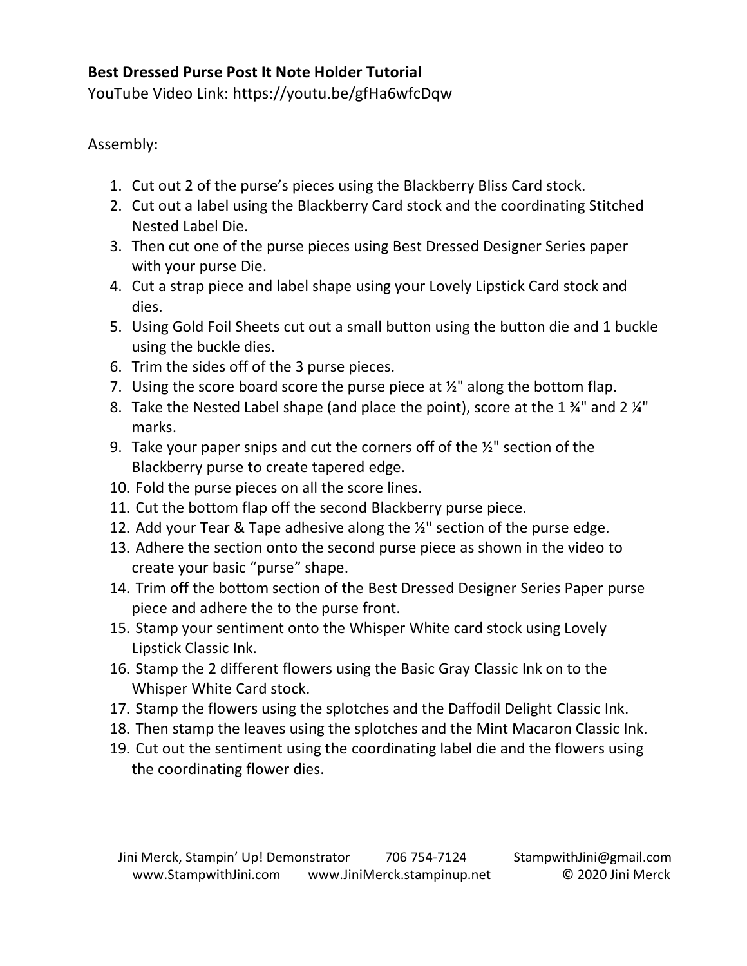## **Best Dressed Purse Post It Note Holder Tutorial**

YouTube Video Link: https://youtu.be/gfHa6wfcDqw

## Assembly:

- 1. Cut out 2 of the purse's pieces using the Blackberry Bliss Card stock.
- 2. Cut out a label using the Blackberry Card stock and the coordinating Stitched Nested Label Die.
- 3. Then cut one of the purse pieces using Best Dressed Designer Series paper with your purse Die.
- 4. Cut a strap piece and label shape using your Lovely Lipstick Card stock and dies.
- 5. Using Gold Foil Sheets cut out a small button using the button die and 1 buckle using the buckle dies.
- 6. Trim the sides off of the 3 purse pieces.
- 7. Using the score board score the purse piece at  $\frac{1}{2}$ " along the bottom flap.
- 8. Take the Nested Label shape (and place the point), score at the 1 $\frac{3}{4}$ " and 2  $\frac{1}{4}$ " marks.
- 9. Take your paper snips and cut the corners off of the  $\frac{1}{2}$ " section of the Blackberry purse to create tapered edge.
- 10. Fold the purse pieces on all the score lines.
- 11. Cut the bottom flap off the second Blackberry purse piece.
- 12. Add your Tear & Tape adhesive along the ½" section of the purse edge.
- 13. Adhere the section onto the second purse piece as shown in the video to create your basic "purse" shape.
- 14. Trim off the bottom section of the Best Dressed Designer Series Paper purse piece and adhere the to the purse front.
- 15. Stamp your sentiment onto the Whisper White card stock using Lovely Lipstick Classic Ink.
- 16. Stamp the 2 different flowers using the Basic Gray Classic Ink on to the Whisper White Card stock.
- 17. Stamp the flowers using the splotches and the Daffodil Delight Classic Ink.
- 18. Then stamp the leaves using the splotches and the Mint Macaron Classic Ink.
- 19. Cut out the sentiment using the coordinating label die and the flowers using the coordinating flower dies.